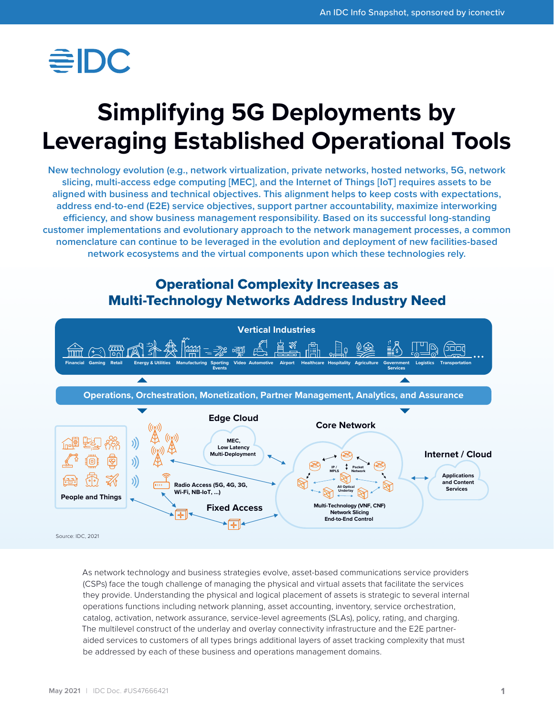

# **Simplifying 5G Deployments by Leveraging Established Operational Tools**

**New technology evolution (e.g., network virtualization, private networks, hosted networks, 5G, network slicing, multi-access edge computing [MEC], and the Internet of Things [IoT] requires assets to be aligned with business and technical objectives. This alignment helps to keep costs with expectations, address end-to-end (E2E) service objectives, support partner accountability, maximize interworking efficiency, and show business management responsibility. Based on its successful long-standing customer implementations and evolutionary approach to the network management processes, a common nomenclature can continue to be leveraged in the evolution and deployment of new facilities-based network ecosystems and the virtual components upon which these technologies rely.**

## Operational Complexity Increases as Multi-Technology Networks Address Industry Need



As network technology and business strategies evolve, asset-based communications service providers (CSPs) face the tough challenge of managing the physical and virtual assets that facilitate the services they provide. Understanding the physical and logical placement of assets is strategic to several internal operations functions including network planning, asset accounting, inventory, service orchestration, catalog, activation, network assurance, service-level agreements (SLAs), policy, rating, and charging. The multilevel construct of the underlay and overlay connectivity infrastructure and the E2E partneraided services to customers of all types brings additional layers of asset tracking complexity that must be addressed by each of these business and operations management domains.